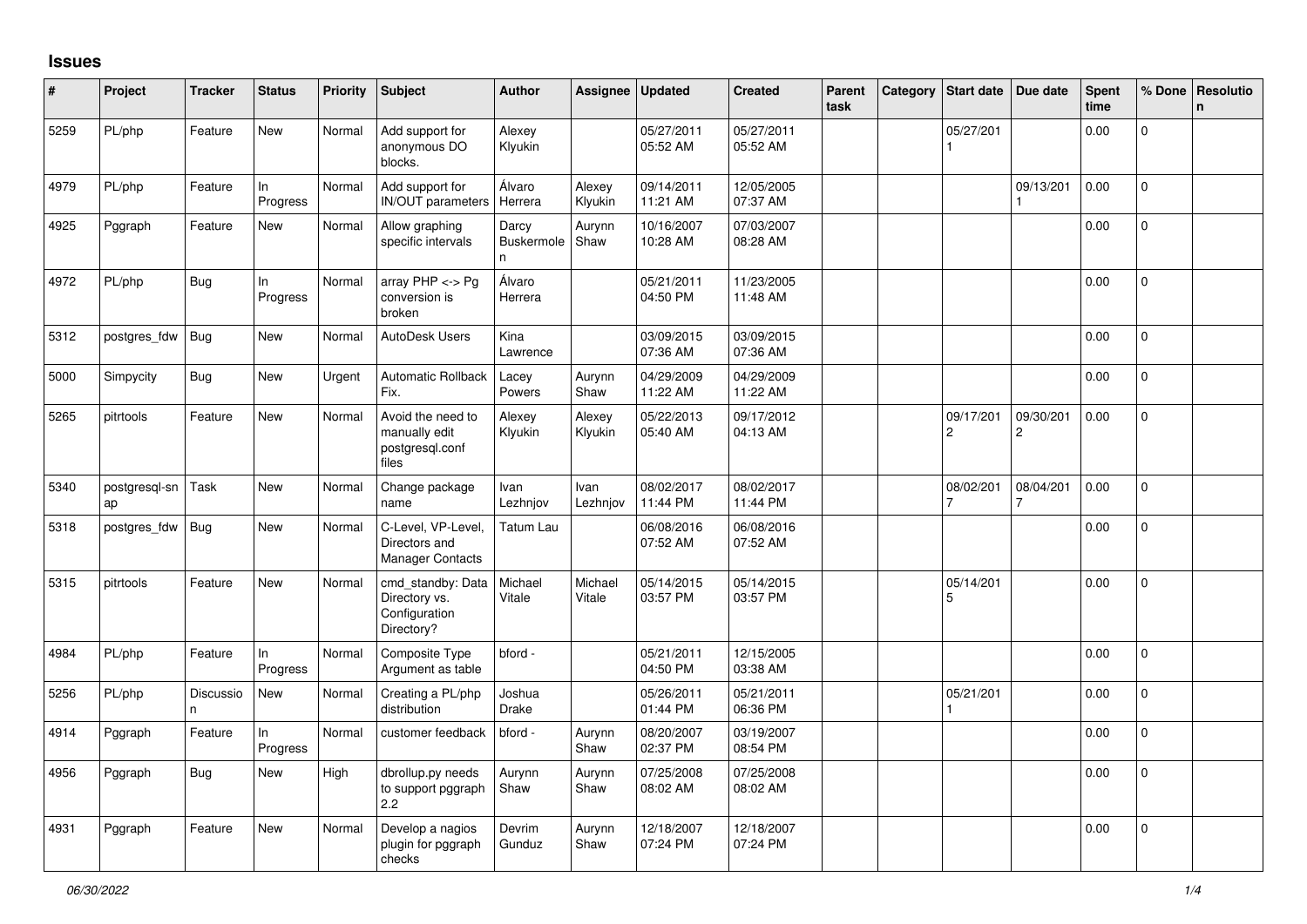## **Issues**

| #    | Project             | <b>Tracker</b> | <b>Status</b>   | Priority | <b>Subject</b>                                                    | <b>Author</b>                    | Assignee          | <b>Updated</b>         | <b>Created</b>         | Parent<br>task | Category   Start date   Due date |                             | <b>Spent</b><br>time | % Done         | Resolutio<br>n. |
|------|---------------------|----------------|-----------------|----------|-------------------------------------------------------------------|----------------------------------|-------------------|------------------------|------------------------|----------------|----------------------------------|-----------------------------|----------------------|----------------|-----------------|
| 5259 | PL/php              | Feature        | <b>New</b>      | Normal   | Add support for<br>anonymous DO<br>blocks.                        | Alexey<br>Klyukin                |                   | 05/27/2011<br>05:52 AM | 05/27/2011<br>05:52 AM |                | 05/27/201                        |                             | 0.00                 | $\Omega$       |                 |
| 4979 | PL/php              | Feature        | In<br>Progress  | Normal   | Add support for<br><b>IN/OUT</b> parameters                       | Álvaro<br>Herrera                | Alexey<br>Klyukin | 09/14/2011<br>11:21 AM | 12/05/2005<br>07:37 AM |                |                                  | 09/13/201                   | 0.00                 | $\Omega$       |                 |
| 4925 | Pggraph             | Feature        | New             | Normal   | Allow graphing<br>specific intervals                              | Darcy<br><b>Buskermole</b><br>n. | Aurynn<br>Shaw    | 10/16/2007<br>10:28 AM | 07/03/2007<br>08:28 AM |                |                                  |                             | 0.00                 | 0              |                 |
| 4972 | PL/php              | Bug            | In<br>Progress  | Normal   | array $PHP \lt\gt Pg$<br>conversion is<br>broken                  | Álvaro<br>Herrera                |                   | 05/21/2011<br>04:50 PM | 11/23/2005<br>11:48 AM |                |                                  |                             | 0.00                 | $\overline{0}$ |                 |
| 5312 | postgres fdw        | Bug            | New             | Normal   | AutoDesk Users                                                    | Kina<br>Lawrence                 |                   | 03/09/2015<br>07:36 AM | 03/09/2015<br>07:36 AM |                |                                  |                             | 0.00                 | $\Omega$       |                 |
| 5000 | Simpycity           | <b>Bug</b>     | New             | Urgent   | <b>Automatic Rollback</b><br>Fix.                                 | Lacey<br>Powers                  | Aurynn<br>Shaw    | 04/29/2009<br>11:22 AM | 04/29/2009<br>11:22 AM |                |                                  |                             | 0.00                 | $\overline{0}$ |                 |
| 5265 | pitrtools           | Feature        | <b>New</b>      | Normal   | Avoid the need to<br>manually edit<br>postgresql.conf<br>files    | Alexey<br>Klyukin                | Alexey<br>Klyukin | 05/22/2013<br>05:40 AM | 09/17/2012<br>04:13 AM |                | 09/17/201<br>$\overline{c}$      | 09/30/201<br>$\overline{2}$ | 0.00                 | $\Omega$       |                 |
| 5340 | postgresql-sn<br>ap | Task           | New             | Normal   | Change package<br>name                                            | Ivan<br>Lezhnjov                 | Ivan<br>Lezhnjov  | 08/02/2017<br>11:44 PM | 08/02/2017<br>11:44 PM |                | 08/02/201                        | 08/04/201                   | 0.00                 | $\mathbf 0$    |                 |
| 5318 | postgres fdw        | <b>Bug</b>     | New             | Normal   | C-Level, VP-Level,<br>Directors and<br><b>Manager Contacts</b>    | Tatum Lau                        |                   | 06/08/2016<br>07:52 AM | 06/08/2016<br>07:52 AM |                |                                  |                             | 0.00                 | $\overline{0}$ |                 |
| 5315 | pitrtools           | Feature        | New             | Normal   | cmd standby: Data<br>Directory vs.<br>Configuration<br>Directory? | Michael<br>Vitale                | Michael<br>Vitale | 05/14/2015<br>03:57 PM | 05/14/2015<br>03:57 PM |                | 05/14/201<br>5                   |                             | 0.00                 | $\mathbf 0$    |                 |
| 4984 | PL/php              | Feature        | In<br>Progress  | Normal   | Composite Type<br>Argument as table                               | bford -                          |                   | 05/21/2011<br>04:50 PM | 12/15/2005<br>03:38 AM |                |                                  |                             | 0.00                 | $\Omega$       |                 |
| 5256 | PL/php              | Discussio<br>n | New             | Normal   | Creating a PL/php<br>distribution                                 | Joshua<br>Drake                  |                   | 05/26/2011<br>01:44 PM | 05/21/2011<br>06:36 PM |                | 05/21/201                        |                             | 0.00                 | 0              |                 |
| 4914 | Pggraph             | Feature        | In.<br>Progress | Normal   | customer feedback                                                 | bford -                          | Aurynn<br>Shaw    | 08/20/2007<br>02:37 PM | 03/19/2007<br>08:54 PM |                |                                  |                             | 0.00                 | $\mathsf{O}$   |                 |
| 4956 | Pggraph             | Bug            | New             | High     | dbrollup.py needs<br>to support pggraph<br>2.2                    | Aurynn<br>Shaw                   | Aurynn<br>Shaw    | 07/25/2008<br>08:02 AM | 07/25/2008<br>08:02 AM |                |                                  |                             | 0.00                 | $\mathbf{0}$   |                 |
| 4931 | Pggraph             | Feature        | <b>New</b>      | Normal   | Develop a nagios<br>plugin for pggraph<br>checks                  | Devrim<br>Gunduz                 | Aurynn<br>Shaw    | 12/18/2007<br>07:24 PM | 12/18/2007<br>07:24 PM |                |                                  |                             | 0.00                 | $\overline{0}$ |                 |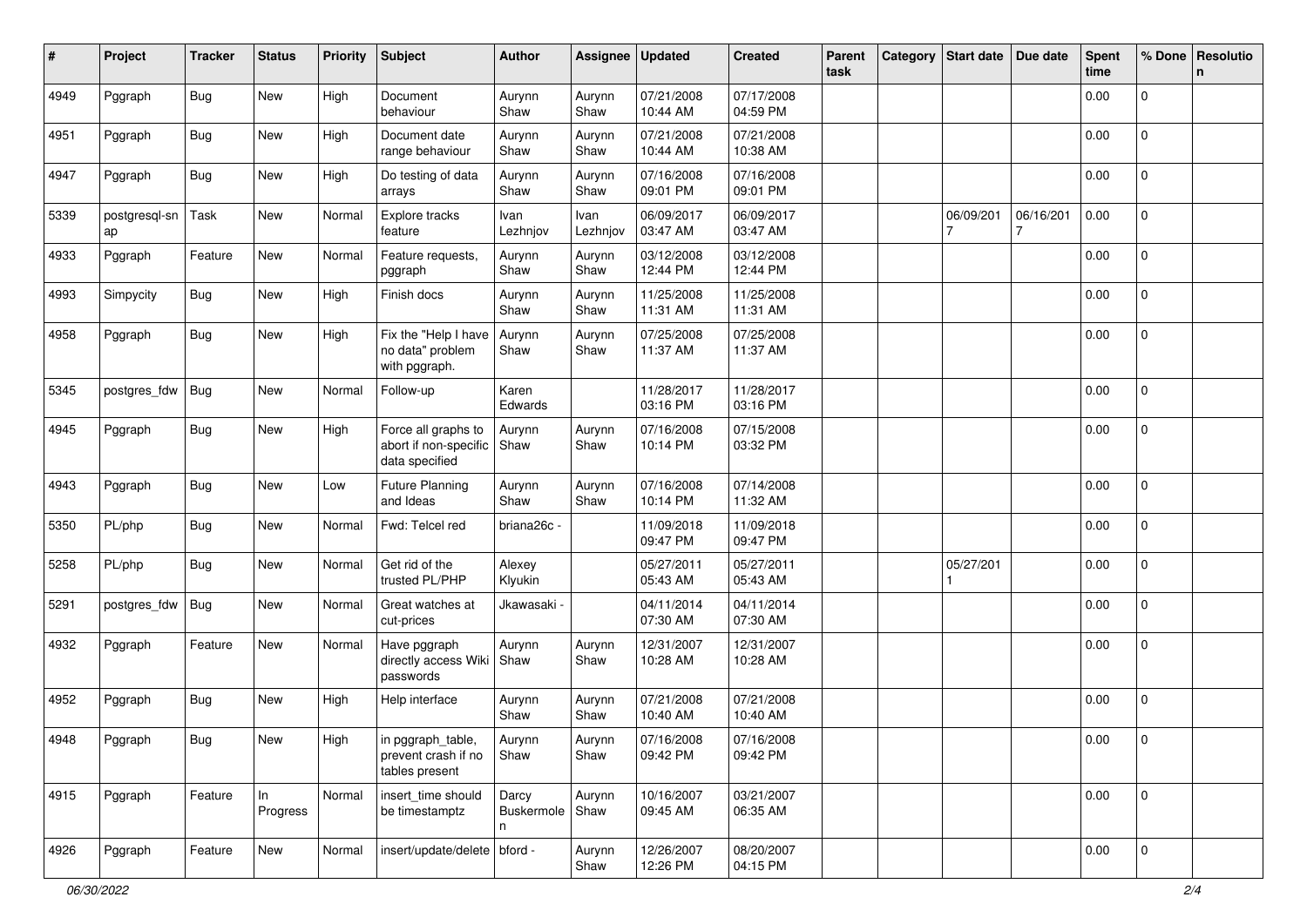| #    | Project             | <b>Tracker</b> | <b>Status</b>  | <b>Priority</b> | <b>Subject</b>                                                 | <b>Author</b>                   | Assignee         | <b>Updated</b>         | <b>Created</b>         | Parent<br>task | Category Start date | Due date       | <b>Spent</b><br>time | % Done         | Resolutio<br>n. |
|------|---------------------|----------------|----------------|-----------------|----------------------------------------------------------------|---------------------------------|------------------|------------------------|------------------------|----------------|---------------------|----------------|----------------------|----------------|-----------------|
| 4949 | Pggraph             | <b>Bug</b>     | New            | High            | Document<br>behaviour                                          | Aurynn<br>Shaw                  | Aurynn<br>Shaw   | 07/21/2008<br>10:44 AM | 07/17/2008<br>04:59 PM |                |                     |                | 0.00                 | $\overline{0}$ |                 |
| 4951 | Pggraph             | Bug            | New            | High            | Document date<br>range behaviour                               | Aurynn<br>Shaw                  | Aurynn<br>Shaw   | 07/21/2008<br>10:44 AM | 07/21/2008<br>10:38 AM |                |                     |                | 0.00                 | $\overline{0}$ |                 |
| 4947 | Pggraph             | Bug            | New            | High            | Do testing of data<br>arrays                                   | Aurynn<br>Shaw                  | Aurynn<br>Shaw   | 07/16/2008<br>09:01 PM | 07/16/2008<br>09:01 PM |                |                     |                | 0.00                 | 0              |                 |
| 5339 | postgresql-sn<br>ap | Task           | New            | Normal          | Explore tracks<br>feature                                      | Ivan<br>Lezhnjov                | Ivan<br>Lezhnjov | 06/09/2017<br>03:47 AM | 06/09/2017<br>03:47 AM |                | 06/09/201<br>7      | 06/16/201<br>7 | 0.00                 | 0              |                 |
| 4933 | Pggraph             | Feature        | New            | Normal          | Feature requests,<br>pggraph                                   | Aurynn<br>Shaw                  | Aurynn<br>Shaw   | 03/12/2008<br>12:44 PM | 03/12/2008<br>12:44 PM |                |                     |                | 0.00                 | $\mathbf{0}$   |                 |
| 4993 | Simpycity           | <b>Bug</b>     | New            | High            | Finish docs                                                    | Aurynn<br>Shaw                  | Aurynn<br>Shaw   | 11/25/2008<br>11:31 AM | 11/25/2008<br>11:31 AM |                |                     |                | 0.00                 | $\overline{0}$ |                 |
| 4958 | Pggraph             | <b>Bug</b>     | New            | High            | Fix the "Help I have<br>no data" problem<br>with pggraph.      | Aurynn<br>Shaw                  | Aurynn<br>Shaw   | 07/25/2008<br>11:37 AM | 07/25/2008<br>11:37 AM |                |                     |                | 0.00                 | $\mathbf 0$    |                 |
| 5345 | postgres_fdw        | Bug            | New            | Normal          | Follow-up                                                      | Karen<br>Edwards                |                  | 11/28/2017<br>03:16 PM | 11/28/2017<br>03:16 PM |                |                     |                | 0.00                 | $\mathbf{0}$   |                 |
| 4945 | Pggraph             | <b>Bug</b>     | New            | High            | Force all graphs to<br>abort if non-specific<br>data specified | Aurynn<br>Shaw                  | Aurynn<br>Shaw   | 07/16/2008<br>10:14 PM | 07/15/2008<br>03:32 PM |                |                     |                | 0.00                 | $\mathbf 0$    |                 |
| 4943 | Pggraph             | <b>Bug</b>     | New            | Low             | <b>Future Planning</b><br>and Ideas                            | Aurynn<br>Shaw                  | Aurynn<br>Shaw   | 07/16/2008<br>10:14 PM | 07/14/2008<br>11:32 AM |                |                     |                | 0.00                 | $\mathbf 0$    |                 |
| 5350 | PL/php              | Bug            | New            | Normal          | Fwd: Telcel red                                                | briana26c -                     |                  | 11/09/2018<br>09:47 PM | 11/09/2018<br>09:47 PM |                |                     |                | 0.00                 | $\mathbf{0}$   |                 |
| 5258 | PL/php              | Bug            | New            | Normal          | Get rid of the<br>trusted PL/PHP                               | Alexey<br>Klyukin               |                  | 05/27/2011<br>05:43 AM | 05/27/2011<br>05:43 AM |                | 05/27/201           |                | 0.00                 | $\overline{0}$ |                 |
| 5291 | postgres_fdw        | <b>Bug</b>     | New            | Normal          | Great watches at<br>cut-prices                                 | Jkawasaki ·                     |                  | 04/11/2014<br>07:30 AM | 04/11/2014<br>07:30 AM |                |                     |                | 0.00                 | 0              |                 |
| 4932 | Pggraph             | Feature        | New            | Normal          | Have pggraph<br>directly access Wiki<br>passwords              | Aurynn<br>Shaw                  | Aurynn<br>Shaw   | 12/31/2007<br>10:28 AM | 12/31/2007<br>10:28 AM |                |                     |                | 0.00                 | $\overline{0}$ |                 |
| 4952 | Pggraph             | Bug            | New            | High            | Help interface                                                 | Aurynn<br>Shaw                  | Aurynn<br>Shaw   | 07/21/2008<br>10:40 AM | 07/21/2008<br>10:40 AM |                |                     |                | 0.00                 | $\mathbf{0}$   |                 |
| 4948 | Pggraph             | Bug            | New            | High            | in pggraph_table,<br>prevent crash if no<br>tables present     | Aurynn<br>Shaw                  | Aurynn<br>Shaw   | 07/16/2008<br>09:42 PM | 07/16/2008<br>09:42 PM |                |                     |                | 0.00                 | 0              |                 |
| 4915 | Pggraph             | Feature        | In<br>Progress | Normal          | insert_time should<br>be timestamptz                           | Darcy<br>Buskermole   Shaw<br>n | Aurynn           | 10/16/2007<br>09:45 AM | 03/21/2007<br>06:35 AM |                |                     |                | 0.00                 | $\mathbf 0$    |                 |
| 4926 | Pggraph             | Feature        | New            | Normal          | insert/update/delete   bford -                                 |                                 | Aurynn<br>Shaw   | 12/26/2007<br>12:26 PM | 08/20/2007<br>04:15 PM |                |                     |                | 0.00                 | l o            |                 |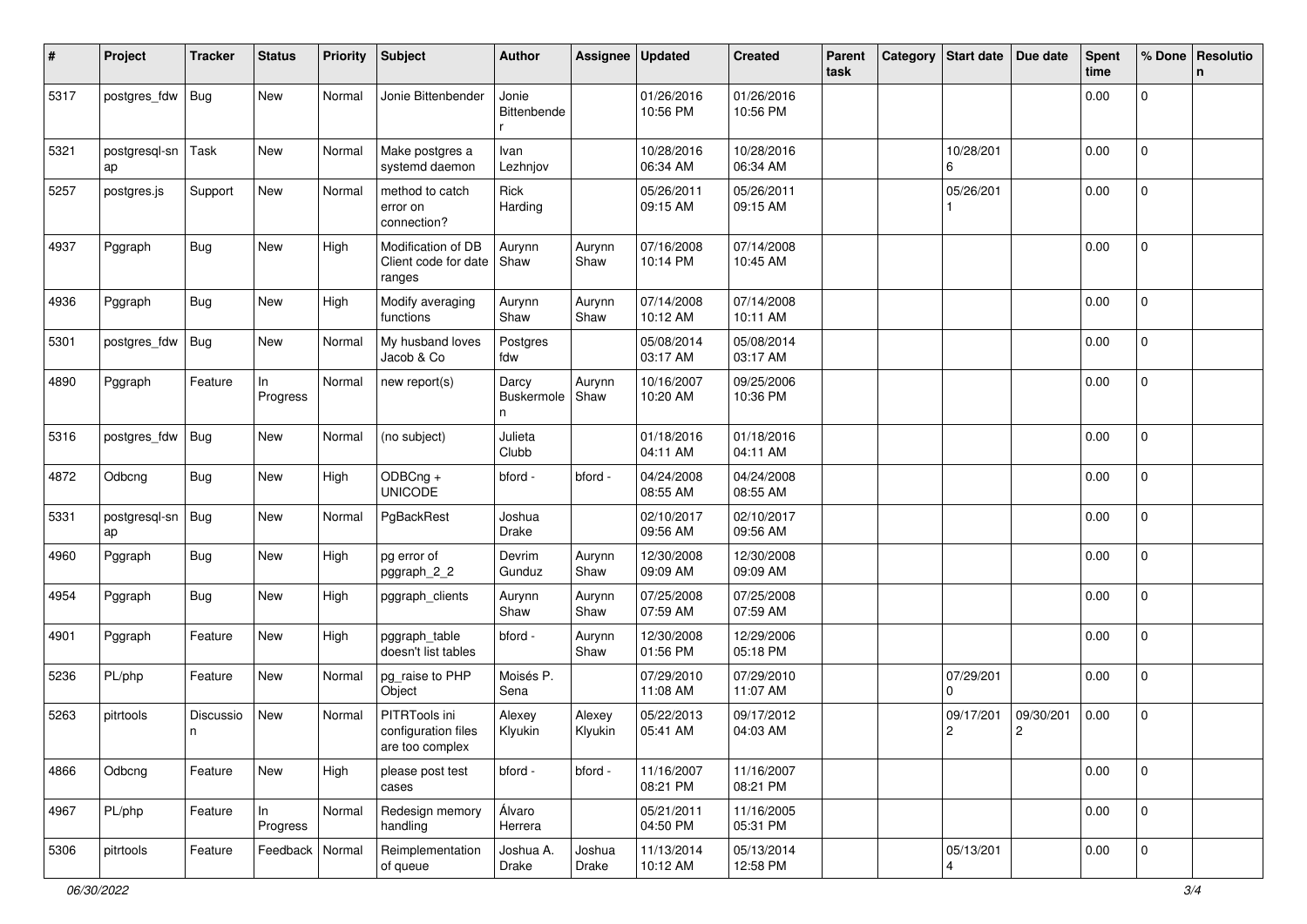| #    | Project             | <b>Tracker</b> | <b>Status</b>     | <b>Priority</b> | <b>Subject</b>                                          | <b>Author</b>            | Assignee          | <b>Updated</b>         | <b>Created</b>         | Parent<br>task | Category | <b>Start date</b>           | Due date                    | <b>Spent</b><br>time | % Done         | Resolutio<br>n |
|------|---------------------|----------------|-------------------|-----------------|---------------------------------------------------------|--------------------------|-------------------|------------------------|------------------------|----------------|----------|-----------------------------|-----------------------------|----------------------|----------------|----------------|
| 5317 | postgres_fdw        | Bug            | New               | Normal          | Jonie Bittenbender                                      | Jonie<br>Bittenbende     |                   | 01/26/2016<br>10:56 PM | 01/26/2016<br>10:56 PM |                |          |                             |                             | 0.00                 | 0              |                |
| 5321 | postgresql-sn<br>ap | Task           | New               | Normal          | Make postgres a<br>systemd daemon                       | Ivan<br>Lezhnjov         |                   | 10/28/2016<br>06:34 AM | 10/28/2016<br>06:34 AM |                |          | 10/28/201<br>6              |                             | 0.00                 | $\mathbf 0$    |                |
| 5257 | postgres.js         | Support        | New               | Normal          | method to catch<br>error on<br>connection?              | Rick<br>Harding          |                   | 05/26/2011<br>09:15 AM | 05/26/2011<br>09:15 AM |                |          | 05/26/201                   |                             | 0.00                 | $\mathbf 0$    |                |
| 4937 | Pggraph             | <b>Bug</b>     | New               | High            | Modification of DB<br>Client code for date<br>ranges    | Aurynn<br>Shaw           | Aurynn<br>Shaw    | 07/16/2008<br>10:14 PM | 07/14/2008<br>10:45 AM |                |          |                             |                             | 0.00                 | $\mathbf{0}$   |                |
| 4936 | Pggraph             | <b>Bug</b>     | New               | High            | Modify averaging<br>functions                           | Aurynn<br>Shaw           | Aurynn<br>Shaw    | 07/14/2008<br>10:12 AM | 07/14/2008<br>10:11 AM |                |          |                             |                             | 0.00                 | $\overline{0}$ |                |
| 5301 | postgres_fdw        | <b>Bug</b>     | New               | Normal          | My husband loves<br>Jacob & Co                          | Postgres<br>fdw          |                   | 05/08/2014<br>03:17 AM | 05/08/2014<br>03:17 AM |                |          |                             |                             | 0.00                 | 0              |                |
| 4890 | Pggraph             | Feature        | In<br>Progress    | Normal          | new report(s)                                           | Darcy<br>Buskermole<br>n | Aurynn<br>Shaw    | 10/16/2007<br>10:20 AM | 09/25/2006<br>10:36 PM |                |          |                             |                             | 0.00                 | 0              |                |
| 5316 | postgres_fdw        | <b>Bug</b>     | New               | Normal          | (no subject)                                            | Julieta<br>Clubb         |                   | 01/18/2016<br>04:11 AM | 01/18/2016<br>04:11 AM |                |          |                             |                             | 0.00                 | 0              |                |
| 4872 | Odbcng              | <b>Bug</b>     | New               | High            | ODBCng +<br><b>UNICODE</b>                              | bford -                  | bford -           | 04/24/2008<br>08:55 AM | 04/24/2008<br>08:55 AM |                |          |                             |                             | 0.00                 | 0              |                |
| 5331 | postgresql-sn<br>ap | Bug            | New               | Normal          | PgBackRest                                              | Joshua<br><b>Drake</b>   |                   | 02/10/2017<br>09:56 AM | 02/10/2017<br>09:56 AM |                |          |                             |                             | 0.00                 | $\mathbf 0$    |                |
| 4960 | Pggraph             | <b>Bug</b>     | New               | High            | pg error of<br>pggraph_2_2                              | Devrim<br>Gunduz         | Aurynn<br>Shaw    | 12/30/2008<br>09:09 AM | 12/30/2008<br>09:09 AM |                |          |                             |                             | 0.00                 | 0              |                |
| 4954 | Pggraph             | <b>Bug</b>     | New               | High            | pggraph_clients                                         | Aurynn<br>Shaw           | Aurynn<br>Shaw    | 07/25/2008<br>07:59 AM | 07/25/2008<br>07:59 AM |                |          |                             |                             | 0.00                 | $\mathbf 0$    |                |
| 4901 | Pggraph             | Feature        | New               | High            | pggraph_table<br>doesn't list tables                    | bford -                  | Aurynn<br>Shaw    | 12/30/2008<br>01:56 PM | 12/29/2006<br>05:18 PM |                |          |                             |                             | 0.00                 | 0              |                |
| 5236 | PL/php              | Feature        | New               | Normal          | pg_raise to PHP<br>Object                               | Moisés P.<br>Sena        |                   | 07/29/2010<br>11:08 AM | 07/29/2010<br>11:07 AM |                |          | 07/29/201<br>0              |                             | 0.00                 | $\mathbf 0$    |                |
| 5263 | pitrtools           | Discussio<br>n | New               | Normal          | PITRTools ini<br>configuration files<br>are too complex | Alexey<br>Klyukin        | Alexey<br>Klyukin | 05/22/2013<br>05:41 AM | 09/17/2012<br>04:03 AM |                |          | 09/17/201<br>$\overline{c}$ | 09/30/201<br>$\overline{c}$ | 0.00                 | 0              |                |
| 4866 | Odbcng              | Feature        | New               | High            | please post test<br>cases                               | bford -                  | bford -           | 11/16/2007<br>08:21 PM | 11/16/2007<br>08:21 PM |                |          |                             |                             | 0.00                 | 0              |                |
| 4967 | PL/php              | Feature        | ln<br>Progress    | Normal          | Redesign memory<br>handling                             | Álvaro<br>Herrera        |                   | 05/21/2011<br>04:50 PM | 11/16/2005<br>05:31 PM |                |          |                             |                             | 0.00                 | $\mathsf 0$    |                |
| 5306 | pitrtools           | Feature        | Feedback   Normal |                 | Reimplementation<br>of queue                            | Joshua A.<br>Drake       | Joshua<br>Drake   | 11/13/2014<br>10:12 AM | 05/13/2014<br>12:58 PM |                |          | 05/13/201<br>4              |                             | 0.00                 | $\mathbf 0$    |                |